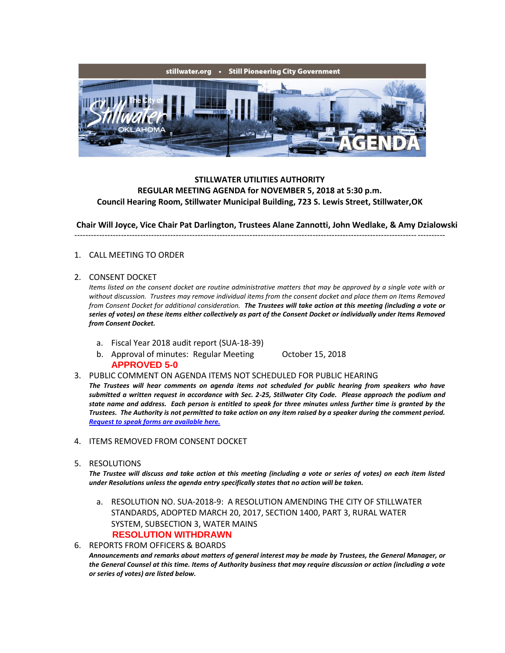

## **STILLWATER UTILITIES AUTHORITY REGULAR MEETING AGENDA for NOVEMBER 5, 2018 at 5:30 p.m. Council Hearing Room, Stillwater Municipal Building, 723 S. Lewis Street, Stillwater,OK**

**Chair Will Joyce, Vice Chair Pat Darlington, Trustees Alane Zannotti, John Wedlake, & Amy Dzialowski** ---------------------------------------------------------------------------------------------------------------------------------------

## 1. CALL MEETING TO ORDER

## 2. CONSENT DOCKET

*Items listed on the consent docket are routine administrative matters that may be approved by a single vote with or without discussion. Trustees may remove individual items from the consent docket and place them on Items Removed from Consent Docket for additional consideration. The Trustees will take action at this meeting (including a vote or series of votes) on these items either collectively as part of the Consent Docket or individually under Items Removed from Consent Docket.*

- a. Fiscal Year 2018 audit report (SUA-18-39)
- b. Approval of minutes: Regular Meeting October 15, 2018 **APPROVED 5-0**
- 3. PUBLIC COMMENT ON AGENDA ITEMS NOT SCHEDULED FOR PUBLIC HEARING

*The Trustees will hear comments on agenda items not scheduled for public hearing from speakers who have submitted a written request in accordance with Sec. 2-25, Stillwater City Code. Please approach the podium and state name and address. Each person is entitled to speak for three minutes unless further time is granted by the Trustees. The Authority is not permitted to take action on any item raised by a speaker during the comment period. [Request to speak forms are available here.](http://stillwater.org/document/request_to_speak_at_city_council.php)*

- 4. ITEMS REMOVED FROM CONSENT DOCKET
- 5. RESOLUTIONS

*The Trustee will discuss and take action at this meeting (including a vote or series of votes) on each item listed under Resolutions unless the agenda entry specifically states that no action will be taken.*

- a. RESOLUTION NO. SUA-2018-9: A RESOLUTION AMENDING THE CITY OF STILLWATER STANDARDS, ADOPTED MARCH 20, 2017, SECTION 1400, PART 3, RURAL WATER SYSTEM, SUBSECTION 3, WATER MAINS **RESOLUTION WITHDRAWN**
- 6. REPORTS FROM OFFICERS & BOARDS *Announcements and remarks about matters of general interest may be made by Trustees, the General Manager, or the General Counsel at this time. Items of Authority business that may require discussion or action (including a vote or series of votes) are listed below.*